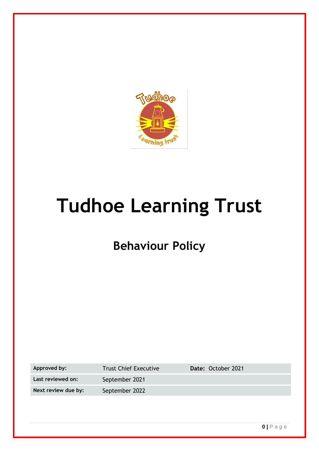

# **Tudhoe Learning Trust**

## **Behaviour Policy**

| Approved by:        | <b>Trust Chief Executive</b> | Date: October 2021 |
|---------------------|------------------------------|--------------------|
| Last reviewed on:   | September 2021               |                    |
| Next review due by: | September 2022               |                    |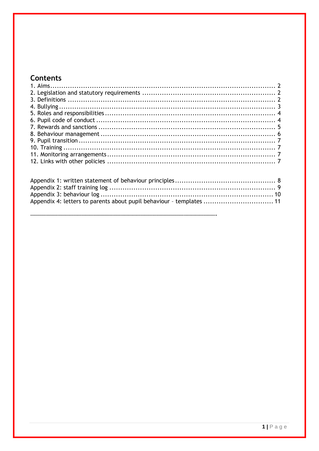## **Contents**

Appendix 4: letters to parents about pupil behaviour - templates ................................. 11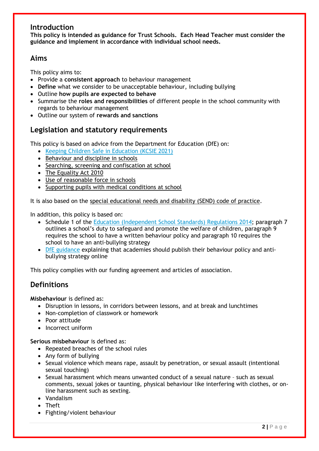## **Introduction**

**This policy is intended as guidance for Trust Schools. Each Head Teacher must consider the guidance and implement in accordance with individual school needs.** 

## **Aims**

This policy aims to:

- Provide a **consistent approach** to behaviour management
- **Define** what we consider to be unacceptable behaviour, including bullying
- Outline **how pupils are expected to behave**
- Summarise the **roles and responsibilities** of different people in the school community with regards to behaviour management
- Outline our system of **rewards and sanctions**

## **Legislation and statutory requirements**

This policy is based on advice from the Department for Education (DfE) on:

- [Keeping Children Safe in Education \(KCSIE 2021\)](https://assets.publishing.service.gov.uk/government/uploads/system/uploads/attachment_data/file/1021914/KCSIE_2021_September_guidance.pdf)
- [Behaviour and discipline in schools](https://www.gov.uk/government/publications/behaviour-and-discipline-in-schools)
- [Searching, screening and confiscation at school](https://www.gov.uk/government/publications/searching-screening-and-confiscation)
- [The Equality Act 2010](https://www.gov.uk/government/publications/equality-act-2010-advice-for-schools)
- [Use of reasonable force in schools](https://www.gov.uk/government/publications/use-of-reasonable-force-in-schools)
- [Supporting pupils with medical conditions at school](https://www.gov.uk/government/publications/supporting-pupils-at-school-with-medical-conditions--3)

It is also based on the [special educational needs and disability \(SEND\) code of practice.](https://www.gov.uk/government/publications/send-code-of-practice-0-to-25)

In addition, this policy is based on:

- Schedule 1 of the [Education \(Independent School Standards\) Regulations 2014;](http://www.legislation.gov.uk/uksi/2014/3283/schedule/made) paragraph 7 outlines a school's duty to safeguard and promote the welfare of children, paragraph 9 requires the school to have a written behaviour policy and paragraph 10 requires the school to have an anti-bullying strategy
- [DfE guidance](https://www.gov.uk/guidance/what-academies-free-schools-and-colleges-should-publish-online) explaining that academies should publish their behaviour policy and antibullying strategy online

This policy complies with our funding agreement and articles of association.

## **Definitions**

**Misbehaviour** is defined as:

- Disruption in lessons, in corridors between lessons, and at break and lunchtimes
- Non-completion of classwork or homework
- Poor attitude
- Incorrect uniform

**Serious misbehaviour** is defined as:

- Repeated breaches of the school rules
- Any form of bullying
- Sexual violence which means rape, assault by penetration, or sexual assault (intentional sexual touching)
- Sexual harassment which means unwanted conduct of a sexual nature such as sexual comments, sexual jokes or taunting, physical behaviour like interfering with clothes, or online harassment such as sexting.
- Vandalism
- Theft
- Fighting/violent behaviour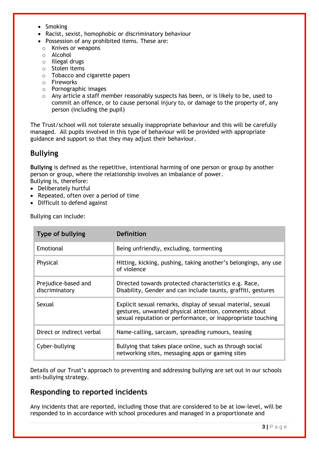- Smoking
- Racist, sexist, homophobic or discriminatory behaviour
- Possession of any prohibited items. These are:
- o Knives or weapons
- o Alcohol
- o Illegal drugs
- o Stolen items
- o Tobacco and cigarette papers
- o Fireworks
- o Pornographic images
- $\circ$  Any article a staff member reasonably suspects has been, or is likely to be, used to commit an offence, or to cause personal injury to, or damage to the property of, any person (including the pupil)

The Trust/school will not tolerate sexually inappropriate behaviour and this will be carefully managed. All pupils involved in this type of behaviour will be provided with appropriate guidance and support so that they may adjust their behaviour.

## **Bullying**

**Bullying** is defined as the repetitive, intentional harming of one person or group by another person or group, where the relationship involves an imbalance of power. Bullying is, therefore:

- Deliberately hurtful
- Repeated, often over a period of time
- Difficult to defend against

Bullying can include:

| Type of bullying                      | Definition                                                                                                                                                                          |
|---------------------------------------|-------------------------------------------------------------------------------------------------------------------------------------------------------------------------------------|
| Emotional                             | Being unfriendly, excluding, tormenting                                                                                                                                             |
| Physical                              | Hitting, kicking, pushing, taking another's belongings, any use<br>of violence                                                                                                      |
| Prejudice-based and<br>discriminatory | Directed towards protected characteristics e.g. Race,<br>Disability, Gender and can include taunts, graffiti, gestures                                                              |
| Sexual                                | Explicit sexual remarks, display of sexual material, sexual<br>gestures, unwanted physical attention, comments about<br>sexual reputation or performance, or inappropriate touching |
| Direct or indirect verbal             | Name-calling, sarcasm, spreading rumours, teasing                                                                                                                                   |
| Cyber-bullying                        | Bullying that takes place online, such as through social<br>networking sites, messaging apps or gaming sites                                                                        |

Details of our Trust's approach to preventing and addressing bullying are set out in our schools anti-bullying strategy.

## **Responding to reported incidents**

Any incidents that are reported, including those that are considered to be at low-level, will be responded to in accordance with school procedures and managed in a proportionate and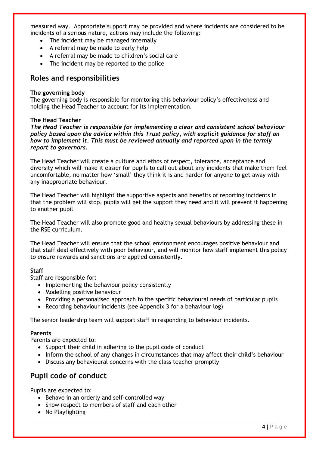measured way. Appropriate support may be provided and where incidents are considered to be incidents of a serious nature, actions may include the following:

- The incident may be managed internally
- A referral may be made to early help
- A referral may be made to children's social care
- The incident may be reported to the police

### **Roles and responsibilities**

#### **The governing body**

The governing body is responsible for monitoring this behaviour policy's effectiveness and holding the Head Teacher to account for its implementation.

#### **The Head Teacher**

*The Head Teacher is responsible for implementing a clear and consistent school behaviour policy based upon the advice within this Trust policy, with explicit guidance for staff on how to implement it. This must be reviewed annually and reported upon in the termly report to governors.*

The Head Teacher will create a culture and ethos of respect, tolerance, acceptance and diversity which will make it easier for pupils to call out about any incidents that make them feel uncomfortable, no matter how 'small' they think it is and harder for anyone to get away with any inappropriate behaviour.

The Head Teacher will highlight the supportive aspects and benefits of reporting incidents in that the problem will stop, pupils will get the support they need and it will prevent it happening to another pupil

The Head Teacher will also promote good and healthy sexual behaviours by addressing these in the RSE curriculum.

The Head Teacher will ensure that the school environment encourages positive behaviour and that staff deal effectively with poor behaviour, and will monitor how staff implement this policy to ensure rewards and sanctions are applied consistently.

#### **Staff**

Staff are responsible for:

- Implementing the behaviour policy consistently
- Modelling positive behaviour
- Providing a personalised approach to the specific behavioural needs of particular pupils
- Recording behaviour incidents (see Appendix 3 for a behaviour log)

The senior leadership team will support staff in responding to behaviour incidents.

#### **Parents**

Parents are expected to:

- Support their child in adhering to the pupil code of conduct
- Inform the school of any changes in circumstances that may affect their child's behaviour
- Discuss any behavioural concerns with the class teacher promptly

## **Pupil code of conduct**

Pupils are expected to:

- Behave in an orderly and self-controlled way
- Show respect to members of staff and each other
- No Playfighting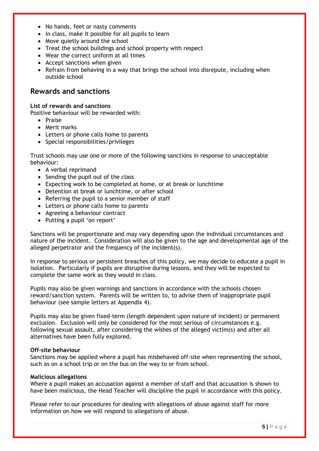- No hands, feet or nasty comments
- In class, make it possible for all pupils to learn
- Move quietly around the school
- Treat the school buildings and school property with respect
- Wear the correct uniform at all times
- Accept sanctions when given
- Refrain from behaving in a way that brings the school into disrepute, including when outside school

## **Rewards and sanctions**

#### **List of rewards and sanctions**

Positive behaviour will be rewarded with:

- Praise
- Merit marks
- Letters or phone calls home to parents
- Special responsibilities/privileges

Trust schools may use one or more of the following sanctions in response to unacceptable behaviour:

- A verbal reprimand
- Sending the pupil out of the class
- Expecting work to be completed at home, or at break or lunchtime
- Detention at break or lunchtime, or after school
- Referring the pupil to a senior member of staff
- Letters or phone calls home to parents
- Agreeing a behaviour contract
- Putting a pupil 'on report'

Sanctions will be proportionate and may vary depending upon the individual circumstances and nature of the incident. Consideration will also be given to the age and developmental age of the alleged perpetrator and the frequency of the incident(s).

In response to serious or persistent breaches of this policy, we may decide to educate a pupil in isolation. Particularly if pupils are disruptive during lessons, and they will be expected to complete the same work as they would in class.

Pupils may also be given warnings and sanctions in accordance with the schools chosen reward/sanction system. Parents will be written to, to advise them of inappropriate pupil behaviour (see sample letters at Appendix 4).

Pupils may also be given fixed-term (length dependent upon nature of incident) or permanent exclusion. Exclusion will only be considered for the most serious of circumstances e.g. following sexual assault, after considering the wishes of the alleged victim(s) and after all alternatives have been fully explored.

#### **Off-site behaviour**

Sanctions may be applied where a pupil has misbehaved off-site when representing the school, such as on a school trip or on the bus on the way to or from school.

#### **Malicious allegations**

Where a pupil makes an accusation against a member of staff and that accusation is shown to have been malicious, the Head Teacher will discipline the pupil in accordance with this policy.

Please refer to our procedures for dealing with allegations of abuse against staff for more information on how we will respond to allegations of abuse.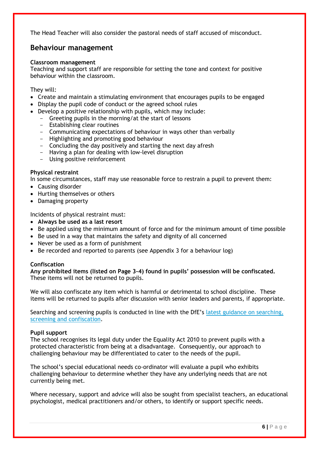The Head Teacher will also consider the pastoral needs of staff accused of misconduct.

## **Behaviour management**

#### **Classroom management**

Teaching and support staff are responsible for setting the tone and context for positive behaviour within the classroom.

They will:

- Create and maintain a stimulating environment that encourages pupils to be engaged
- Display the pupil code of conduct or the agreed school rules
- Develop a positive relationship with pupils, which may include:
	- Greeting pupils in the morning/at the start of lessons
		- Establishing clear routines
		- Communicating expectations of behaviour in ways other than verbally
		- Highlighting and promoting good behaviour
		- Concluding the day positively and starting the next day afresh
		- Having a plan for dealing with low-level disruption
		- Using positive reinforcement

#### **Physical restraint**

In some circumstances, staff may use reasonable force to restrain a pupil to prevent them:

- Causing disorder
- Hurting themselves or others
- Damaging property

Incidents of physical restraint must:

- **Always be used as a last resort**
- Be applied using the minimum amount of force and for the minimum amount of time possible
- Be used in a way that maintains the safety and dignity of all concerned
- Never be used as a form of punishment
- Be recorded and reported to parents (see Appendix 3 for a behaviour log)

#### **Confiscation**

**Any prohibited items (listed on Page 3-4) found in pupils' possession will be confiscated.** These items will not be returned to pupils.

We will also confiscate any item which is harmful or detrimental to school discipline. These items will be returned to pupils after discussion with senior leaders and parents, if appropriate.

Searching and screening pupils is conducted in line with the DfE's [latest guidance on searching,](https://www.gov.uk/government/publications/searching-screening-and-confiscation)  [screening and confiscation.](https://www.gov.uk/government/publications/searching-screening-and-confiscation)

#### **Pupil support**

The school recognises its legal duty under the Equality Act 2010 to prevent pupils with a protected characteristic from being at a disadvantage. Consequently, our approach to challenging behaviour may be differentiated to cater to the needs of the pupil.

The school's special educational needs co-ordinator will evaluate a pupil who exhibits challenging behaviour to determine whether they have any underlying needs that are not currently being met.

Where necessary, support and advice will also be sought from specialist teachers, an educational psychologist, medical practitioners and/or others, to identify or support specific needs.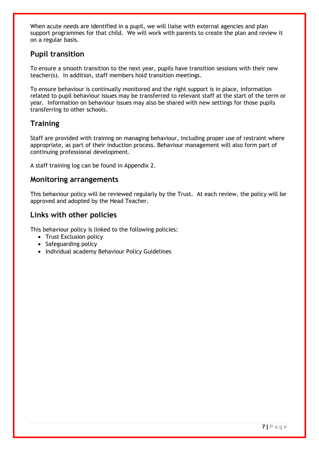When acute needs are identified in a pupil, we will liaise with external agencies and plan support programmes for that child. We will work with parents to create the plan and review it on a regular basis.

## **Pupil transition**

To ensure a smooth transition to the next year, pupils have transition sessions with their new teacher(s). In addition, staff members hold transition meetings.

To ensure behaviour is continually monitored and the right support is in place, information related to pupil behaviour issues may be transferred to relevant staff at the start of the term or year. Information on behaviour issues may also be shared with new settings for those pupils transferring to other schools.

## **Training**

Staff are provided with training on managing behaviour, including proper use of restraint where appropriate, as part of their induction process. Behaviour management will also form part of continuing professional development.

A staff training log can be found in Appendix 2.

## **Monitoring arrangements**

This behaviour policy will be reviewed regularly by the Trust. At each review, the policy will be approved and adopted by the Head Teacher.

## **Links with other policies**

This behaviour policy is linked to the following policies:

- Trust Exclusion policy
- Safeguarding policy
- Individual academy Behaviour Policy Guidelines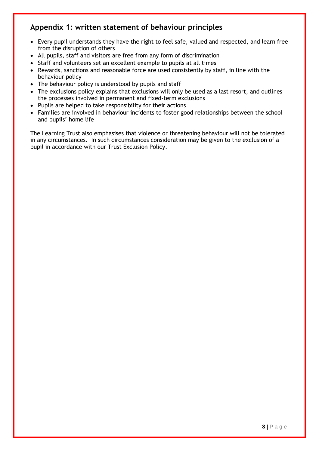## **Appendix 1: written statement of behaviour principles**

- Every pupil understands they have the right to feel safe, valued and respected, and learn free from the disruption of others
- All pupils, staff and visitors are free from any form of discrimination
- Staff and volunteers set an excellent example to pupils at all times
- Rewards, sanctions and reasonable force are used consistently by staff, in line with the behaviour policy
- The behaviour policy is understood by pupils and staff
- The exclusions policy explains that exclusions will only be used as a last resort, and outlines the processes involved in permanent and fixed-term exclusions
- Pupils are helped to take responsibility for their actions
- Families are involved in behaviour incidents to foster good relationships between the school and pupils' home life

The Learning Trust also emphasises that violence or threatening behaviour will not be tolerated in any circumstances. In such circumstances consideration may be given to the exclusion of a pupil in accordance with our Trust Exclusion Policy.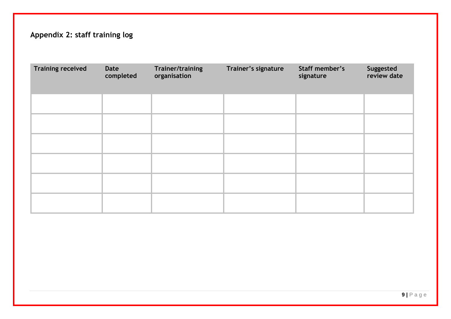## **Appendix 2: staff training log**

| <b>Training received</b> | Date<br>completed | Trainer/training<br>organisation | Trainer's signature | Staff member's<br>signature | Suggested<br>review date |
|--------------------------|-------------------|----------------------------------|---------------------|-----------------------------|--------------------------|
|                          |                   |                                  |                     |                             |                          |
|                          |                   |                                  |                     |                             |                          |
|                          |                   |                                  |                     |                             |                          |
|                          |                   |                                  |                     |                             |                          |
|                          |                   |                                  |                     |                             |                          |
|                          |                   |                                  |                     |                             |                          |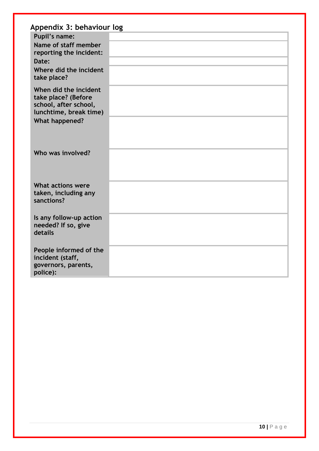| Appendix 3: behaviour log                                                                       |  |
|-------------------------------------------------------------------------------------------------|--|
| <b>Pupil's name:</b>                                                                            |  |
| Name of staff member                                                                            |  |
| reporting the incident:                                                                         |  |
| Date:<br>Where did the incident                                                                 |  |
| take place?                                                                                     |  |
| When did the incident<br>take place? (Before<br>school, after school,<br>lunchtime, break time) |  |
| <b>What happened?</b>                                                                           |  |
| Who was involved?                                                                               |  |
| <b>What actions were</b>                                                                        |  |
| taken, including any<br>sanctions?                                                              |  |
| Is any follow-up action<br>needed? If so, give<br>details                                       |  |
| People informed of the<br>incident (staff,<br>governors, parents,<br>police):                   |  |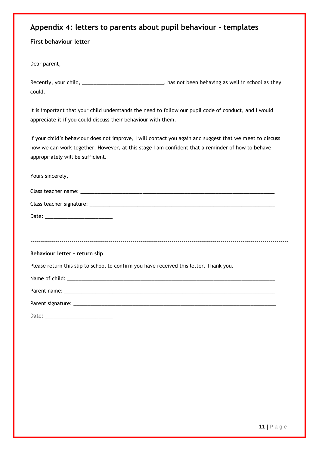## **Appendix 4: letters to parents about pupil behaviour – templates**

#### **First behaviour letter**

Dear parent,

| Recently, your child, | has not been behaving as well in school as they |
|-----------------------|-------------------------------------------------|
| could.                |                                                 |

It is important that your child understands the need to follow our pupil code of conduct, and I would appreciate it if you could discuss their behaviour with them.

If your child's behaviour does not improve, I will contact you again and suggest that we meet to discuss how we can work together. However, at this stage I am confident that a reminder of how to behave appropriately will be sufficient.

| Yours sincerely,                                                                       |
|----------------------------------------------------------------------------------------|
|                                                                                        |
|                                                                                        |
|                                                                                        |
|                                                                                        |
|                                                                                        |
| Behaviour letter - return slip                                                         |
| Please return this slip to school to confirm you have received this letter. Thank you. |
|                                                                                        |
|                                                                                        |
|                                                                                        |
|                                                                                        |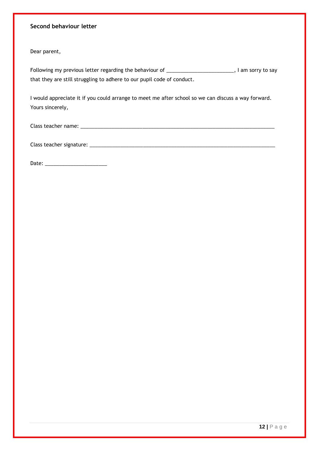#### **Second behaviour letter**

Dear parent,

Following my previous letter regarding the behaviour of \_\_\_\_\_\_\_\_\_\_\_\_\_\_\_\_\_\_\_\_\_\_\_\_, I am sorry to say that they are still struggling to adhere to our pupil code of conduct.

I would appreciate it if you could arrange to meet me after school so we can discuss a way forward. Yours sincerely,

Class teacher name: \_\_\_\_\_\_\_\_\_\_\_\_\_\_\_\_\_\_\_\_\_\_\_\_\_\_\_\_\_\_\_\_\_\_\_\_\_\_\_\_\_\_\_\_\_\_\_\_\_\_\_\_\_\_\_\_\_\_\_\_\_\_\_\_\_\_\_\_\_

Class teacher signature: \_\_\_\_\_\_\_\_\_\_\_\_\_\_\_\_\_\_\_\_\_\_\_\_\_\_\_\_\_\_\_\_\_\_\_\_\_\_\_\_\_\_\_\_\_\_\_\_\_\_\_\_\_\_\_\_\_\_\_\_\_\_\_\_\_\_

Date: \_\_\_\_\_\_\_\_\_\_\_\_\_\_\_\_\_\_\_\_\_\_